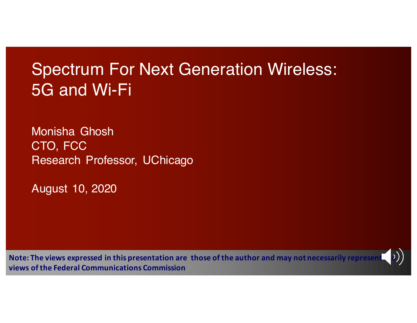# Spectrum For Next Generation Wireless: 5G and Wi-Fi

Monisha Ghosh CTO, FCC Research Professor, UChicago

August 10, 2020

**Note:** The views expressed in this presentation are those of the author and may not necessarily represent (2) **views of the Federal Communications Commission**

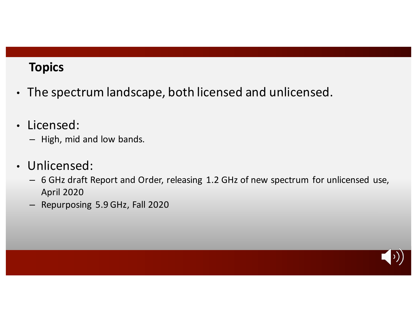#### **Topics**

- The spectrum landscape, both licensed and unlicensed.
- Licensed:
	- High, mid and low bands.
- Unlicensed:
	- 6 GHz draft Report and Order, releasing 1.2 GHz of new spectrum for unlicensed use, April 2020
	- Repurposing 5.9 GHz, Fall 2020

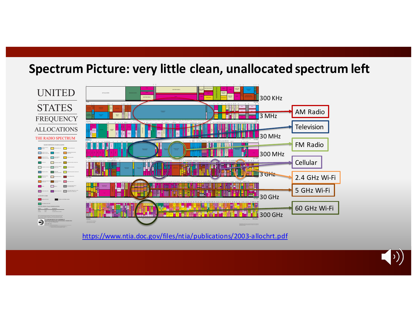# Spectrum Picture: very little clean, unallocated spectrum left



https://www.ntia.doc.gov/files/ntia/publications/2003-allochrt.pdf

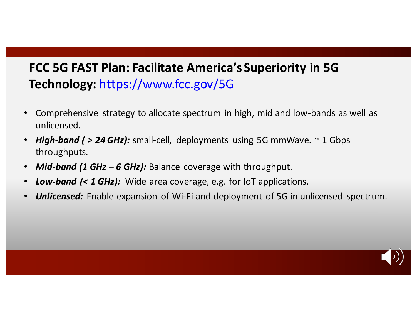# FCC 5G FAST Plan: Facilitate America's Superiority in 5G **Technology:** https://www.fcc.gov/5G

- Comprehensive strategy to allocate spectrum in high, mid and low-bands as well as unlicensed.
- *High-band ( > 24 GHz):* small-cell, deployments using 5G mmWave. ~ 1 Gbps throughputs.
- *Mid-band (1 GHz 6 GHz):* Balance coverage with throughput.
- Low-band (< 1 GHz): Wide area coverage, e.g. for loT applications.
- **Unlicensed:** Enable expansion of Wi-Fi and deployment of 5G in unlicensed spectrum.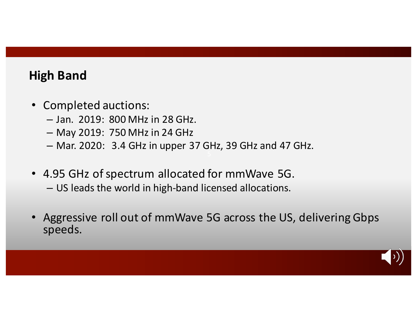# **High Band**

- Completed auctions:
	- Jan. 2019: 800 MHz in 28 GHz.
	- May 2019: 750 MHz in 24 GHz
	- Mar. 2020: 3.4 GHz in upper 37 GHz, 39 GHz and 47 GHz.
- 4.95 GHz of spectrum allocated for mmWave 5G.
	- US leads the world in high-band licensed allocations.
- Aggressive roll out of mmWave 5G across the US, delivering Gbps speeds.

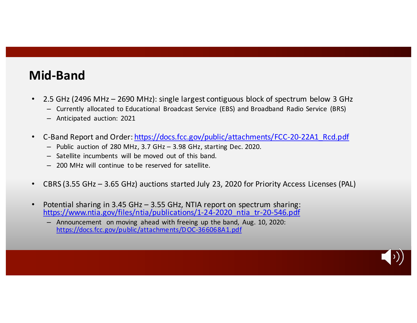# **Mid-Band**

- 2.5 GHz (2496 MHz 2690 MHz): single largest contiguous block of spectrum below 3 GHz
	- Currently allocated to Educational Broadcast Service (EBS) and Broadband Radio Service (BRS)
	- Anticipated auction: 2021
- C-Band Report and Order: https://docs.fcc.gov/public/attachments/FCC-20-22A1\_Rcd.pdf
	- $-$  Public auction of 280 MHz, 3.7 GHz  $-$  3.98 GHz, starting Dec. 2020.
	- Satellite incumbents will be moved out of this band.
	- $-200$  MHz will continue to be reserved for satellite.
- CBRS (3.55 GHz 3.65 GHz) auctions started July 23, 2020 for Priority Access Licenses (PAL)
- Potential sharing in 3.45 GHz  $-$  3.55 GHz, NTIA report on spectrum sharing: https://www.ntia.gov/files/ntia/publications/1-24-2020\_ntia\_tr-20-546.pdf
	- Announcement on moving ahead with freeing up the band, Aug. 10, 2020: https://docs.fcc.gov/public/attachments/DOC-366068A1.pdf

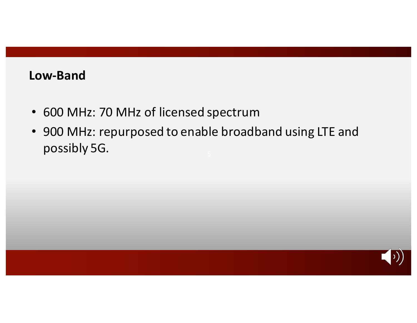#### **Low-Band**

- 600 MHz: 70 MHz of licensed spectrum
- 900 MHz: repurposed to enable broadband using LTE and possibly 5G.

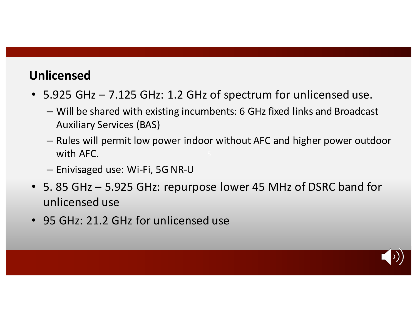# **Unlicensed**

- 5.925 GHz 7.125 GHz: 1.2 GHz of spectrum for unlicensed use.
	- Will be shared with existing incumbents: 6 GHz fixed links and Broadcast Auxiliary Services (BAS)
	- $-$  Rules will permit low power indoor without AFC and higher power outdoor with AFC.
	- Enivisaged use: Wi-Fi, 5G NR-U
- 5. 85 GHz 5.925 GHz: repurpose lower 45 MHz of DSRC band for unlicensed use
- 95 GHz: 21.2 GHz for unlicensed use